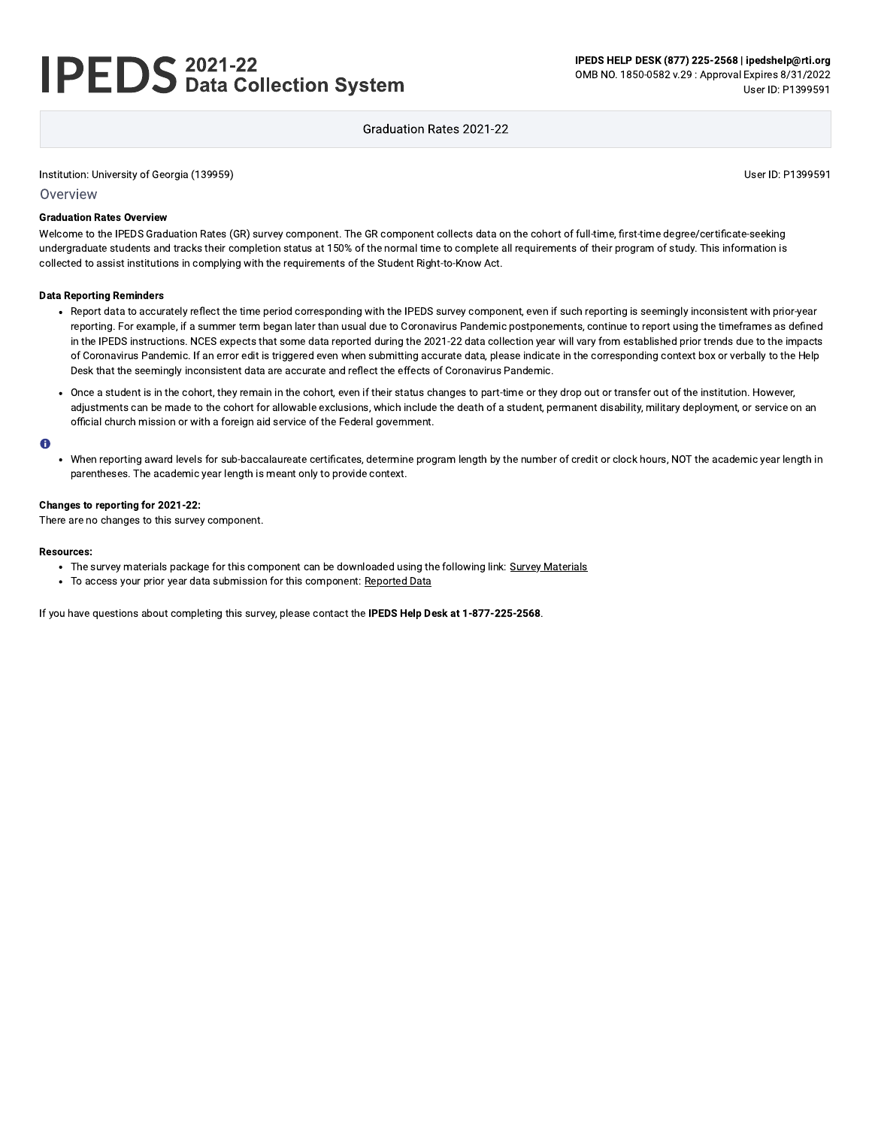# **IPEDS** 2021-22<br>
Data Collection System

IPEDS HELP DESK (877) 225-2568 | ipedshelp@rti.org OMB NO. 1850-0582 v.29 : Approval Expires 8/31/2022 User ID: P1399591

## Graduation Rates 2021-22

Institution: University of Georgia (139959)

User ID: P1399591

Overview

#### **Graduation Rates Overview**

Welcome to the IPEDS Graduation Rates (GR) survey component. The GR component collects data on the cohort of full-time, first-time degree/certificate-seeking undergraduate students and tracks their completion status at 150% of the normal time to complete all requirements of their program of study. This information is collected to assist institutions in complying with the requirements of the Student Right-to-Know Act.

#### **Data Reporting Reminders**

- Report data to accurately reflect the time period corresponding with the IPEDS survey component, even if such reporting is seemingly inconsistent with prior-year reporting. For example, if a summer term began later than usual due to Coronavirus Pandemic postponements, continue to report using the timeframes as defined in the IPEDS instructions. NCES expects that some data reported during the 2021-22 data collection year will vary from established prior trends due to the impacts of Coronavirus Pandemic. If an error edit is triggered even when submitting accurate data, please indicate in the corresponding context box or verbally to the Help Desk that the seemingly inconsistent data are accurate and reflect the effects of Coronavirus Pandemic.
- Once a student is in the cohort, they remain in the cohort, even if their status changes to part-time or they drop out or transfer out of the institution. However, adjustments can be made to the cohort for allowable exclusions, which include the death of a student, permanent disability, military deployment, or service on an official church mission or with a foreign aid service of the Federal government.

#### $\bullet$

• When reporting award levels for sub-baccalaureate certificates, determine program length by the number of credit or clock hours, NOT the academic year length in parentheses. The academic year length is meant only to provide context.

#### Changes to reporting for 2021-22:

There are no changes to this survey component.

#### **Resources:**

- The survey materials package for this component can be downloaded using the following link: Survey Materials
- To access your prior year data submission for this component: Reported Data

If you have questions about completing this survey, please contact the IPEDS Help Desk at 1-877-225-2568.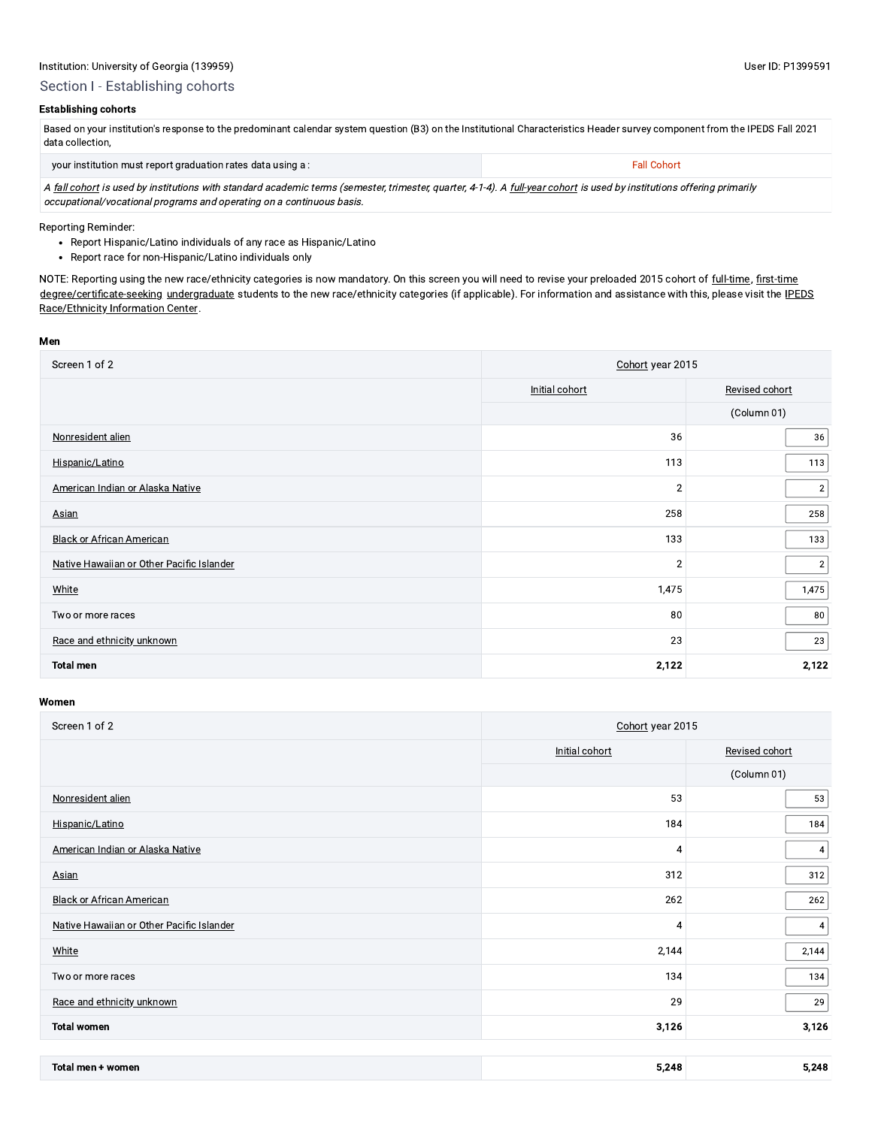## Section I - Establishing cohorts

## **Establishing cohorts**

| Based on your institution's response to the predominant calendar system question (B3) on the Institutional Characteristics Header survey component from the IPEDS Fall 2021 |                    |
|-----------------------------------------------------------------------------------------------------------------------------------------------------------------------------|--------------------|
| data collection.                                                                                                                                                            |                    |
| vour institution must report graduation rates data using a :                                                                                                                | <b>Fall Cohort</b> |

A fall cohort is used by institutions with standard academic terms (semester, trimester, quarter, 4-1-4). A full-year cohort is used by institutions offering primarily occupational/vocational programs and operating on a continuous basis.

Reporting Reminder:

- Report Hispanic/Latino individuals of any race as Hispanic/Latino
- Report race for non-Hispanic/Latino individuals only

NOTE: Reporting using the new race/ethnicity categories is now mandatory. On this screen you will need to revise your preloaded 2015 cohort of full-time, first-time degree/certificate-seeking undergraduate students to the new race/ethnicity categories (if applicable). For information and assistance with this, please visit the IPEDS Race/Ethnicity Information Center.

#### Men

| Screen 1 of 2                             | Cohort year 2015 |                |  |
|-------------------------------------------|------------------|----------------|--|
|                                           | Initial cohort   | Revised cohort |  |
|                                           |                  | (Column 01)    |  |
| Nonresident alien                         | 36               | 36             |  |
| Hispanic/Latino                           | 113              | 113            |  |
| American Indian or Alaska Native          | $\overline{2}$   | 2              |  |
| <b>Asian</b>                              | 258              | 258            |  |
| <b>Black or African American</b>          | 133              | 133            |  |
| Native Hawaiian or Other Pacific Islander | $\sqrt{2}$       | $\sqrt{2}$     |  |
| White                                     | 1,475            | 1,475          |  |
| Two or more races                         | 80               | 80             |  |
| Race and ethnicity unknown                | 23               | 23             |  |
| <b>Total men</b>                          | 2,122            | 2,122          |  |

| Screen 1 of 2                             | Cohort year 2015 |                |  |
|-------------------------------------------|------------------|----------------|--|
|                                           | Initial cohort   | Revised cohort |  |
|                                           |                  | (Column 01)    |  |
| Nonresident alien                         | 53               | 53             |  |
| Hispanic/Latino                           | 184              | 184            |  |
| American Indian or Alaska Native          | 4                | 4              |  |
| <b>Asian</b>                              | 312              | 312            |  |
| <b>Black or African American</b>          | 262              | 262            |  |
| Native Hawaiian or Other Pacific Islander | 4                | $\overline{4}$ |  |
| White                                     | 2,144            | 2,144          |  |
| Two or more races                         | 134              | 134            |  |
| Race and ethnicity unknown                | 29               | 29             |  |
| <b>Total women</b>                        | 3,126            | 3,126          |  |
|                                           |                  |                |  |

| <b>Total men</b><br>women | $-248$<br>--<br>$\sim$ | <b>248</b><br>. |
|---------------------------|------------------------|-----------------|
|---------------------------|------------------------|-----------------|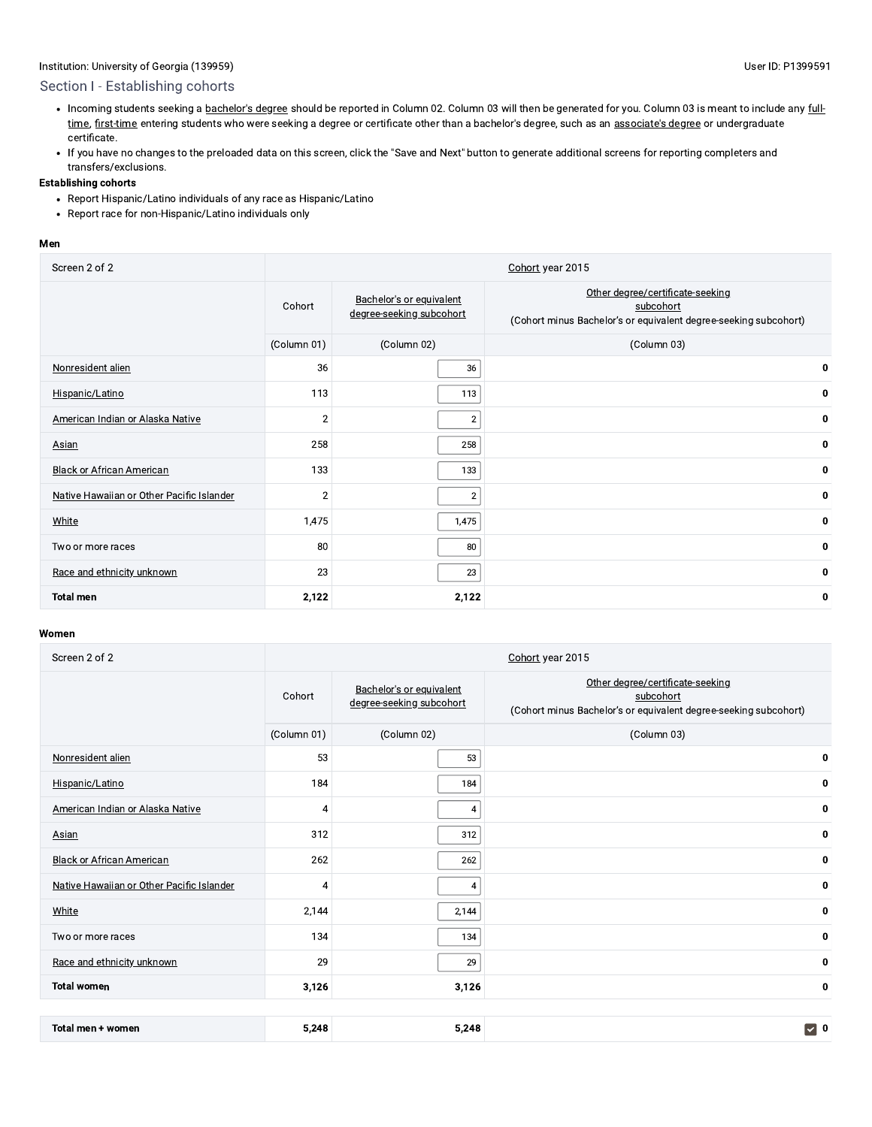# Section I - Establishing cohorts

- . Incoming students seeking a bachelor's degree should be reported in Column 02. Column 03 will then be generated for you. Column 03 is meant to include any fulltime, first-time entering students who were seeking a degree or certificate other than a bachelor's degree, such as an associate's degree or undergraduate certificate.
- If you have no changes to the preloaded data on this screen, click the "Save and Next" button to generate additional screens for reporting completers and transfers/exclusions.

#### **Establishing cohorts**

- Report Hispanic/Latino individuals of any race as Hispanic/Latino
- Report race for non-Hispanic/Latino individuals only

#### Men

| Screen 2 of 2                             | Cohort year 2015 |                                                      |                                                                                                                   |  |
|-------------------------------------------|------------------|------------------------------------------------------|-------------------------------------------------------------------------------------------------------------------|--|
|                                           | Cohort           | Bachelor's or equivalent<br>degree-seeking subcohort | Other degree/certificate-seeking<br>subcohort<br>(Cohort minus Bachelor's or equivalent degree-seeking subcohort) |  |
|                                           | (Column 01)      | (Column 02)                                          | (Column 03)                                                                                                       |  |
| Nonresident alien                         | 36               | 36                                                   | 0                                                                                                                 |  |
| Hispanic/Latino                           | 113              | 113                                                  | 0                                                                                                                 |  |
| American Indian or Alaska Native          | $\overline{2}$   | $\overline{2}$                                       | 0                                                                                                                 |  |
| Asian                                     | 258              | 258                                                  | $\mathbf 0$                                                                                                       |  |
| <b>Black or African American</b>          | 133              | 133                                                  | 0                                                                                                                 |  |
| Native Hawaiian or Other Pacific Islander | $\overline{2}$   | $\overline{2}$                                       | 0                                                                                                                 |  |
| <b>White</b>                              | 1,475            | 1,475                                                | 0                                                                                                                 |  |
| Two or more races                         | 80               | 80                                                   | $\mathbf 0$                                                                                                       |  |
| Race and ethnicity unknown                | 23               | 23                                                   | 0                                                                                                                 |  |
| <b>Total men</b>                          | 2,122            | 2,122                                                | 0                                                                                                                 |  |

| Screen 2 of 2                             |                |                                                      | Cohort year 2015                                                                                                  |
|-------------------------------------------|----------------|------------------------------------------------------|-------------------------------------------------------------------------------------------------------------------|
|                                           | Cohort         | Bachelor's or equivalent<br>degree-seeking subcohort | Other degree/certificate-seeking<br>subcohort<br>(Cohort minus Bachelor's or equivalent degree-seeking subcohort) |
|                                           | (Column 01)    | (Column 02)                                          | (Column 03)                                                                                                       |
| Nonresident alien                         | 53             | 53                                                   | 0                                                                                                                 |
| Hispanic/Latino                           | 184            | 184                                                  | $\bf{0}$                                                                                                          |
| American Indian or Alaska Native          | 4              | 4                                                    | 0                                                                                                                 |
| Asian                                     | 312            | 312                                                  | 0                                                                                                                 |
| <b>Black or African American</b>          | 262            | 262                                                  | 0                                                                                                                 |
| Native Hawaiian or Other Pacific Islander | $\overline{4}$ | $\overline{4}$                                       | 0                                                                                                                 |
| White                                     | 2,144          | 2,144                                                | 0                                                                                                                 |
| Two or more races                         | 134            | 134                                                  | 0                                                                                                                 |
| Race and ethnicity unknown                | 29             | 29                                                   | 0                                                                                                                 |
| <b>Total women</b>                        | 3,126          | 3,126                                                | 0                                                                                                                 |
|                                           |                |                                                      |                                                                                                                   |
| Total men + women                         | 5,248          | 5,248                                                | $\triangledown$ 0                                                                                                 |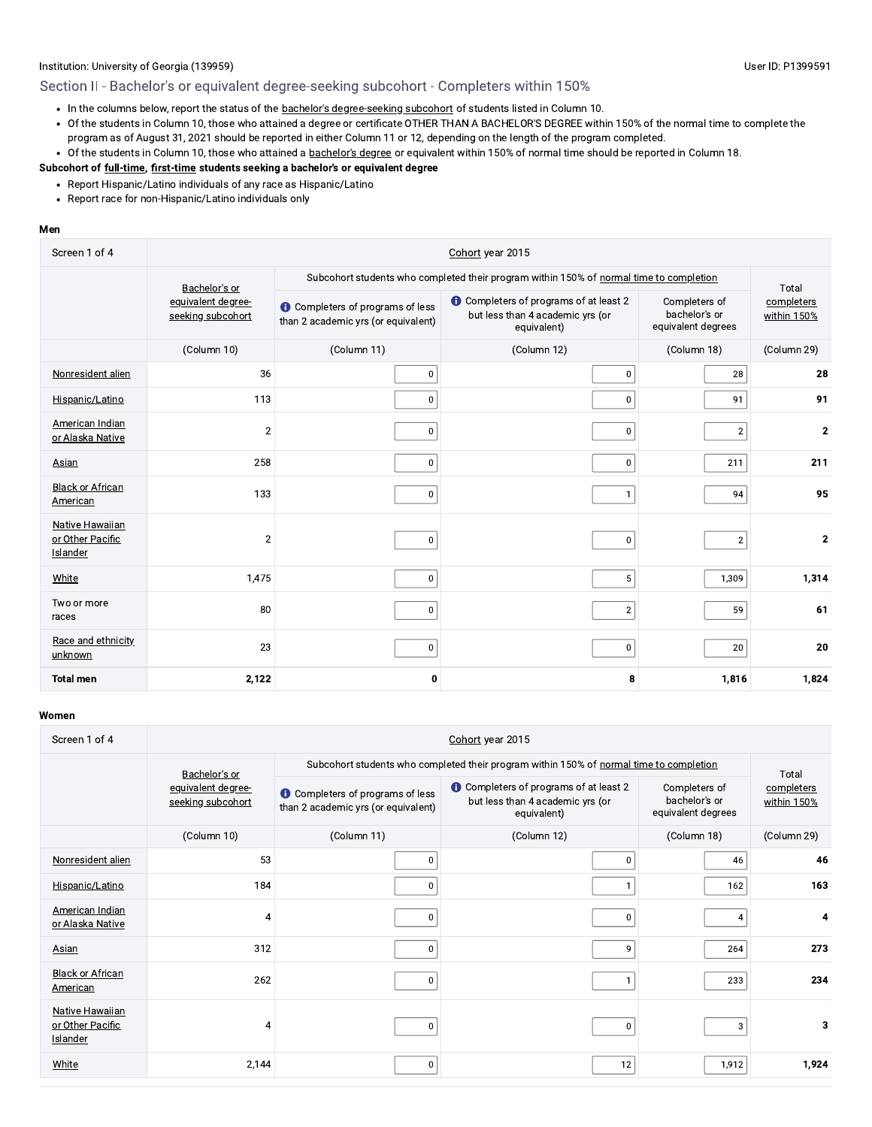# Section II - Bachelor's or equivalent degree-seeking subcohort - Completers within 150%

- . In the columns below, report the status of the bachelor's degree-seeking subcohort of students listed in Column 10.
- Of the students in Column 10, those who attained a degree or certificate OTHER THAN A BACHELOR'S DEGREE within 150% of the normal time to complete the program as of August 31, 2021 should be reported in either Column 11 or 12, depending on the length of the program completed.
- Of the students in Column 10, those who attained a bachelor's degree or equivalent within 150% of normal time should be reported in Column 18.

#### Subcohort of full-time, first-time students seeking a bachelor's or equivalent degree

- Report Hispanic/Latino individuals of any race as Hispanic/Latino
- Report race for non-Hispanic/Latino individuals only

#### Men

| Screen 1 of 4                                   | Cohort year 2015                        |                                                                                |                                                                                                  |                                                      |                           |
|-------------------------------------------------|-----------------------------------------|--------------------------------------------------------------------------------|--------------------------------------------------------------------------------------------------|------------------------------------------------------|---------------------------|
|                                                 | Bachelor's or                           |                                                                                | Subcohort students who completed their program within 150% of normal time to completion          |                                                      | Total                     |
|                                                 | equivalent degree-<br>seeking subcohort | <b>O</b> Completers of programs of less<br>than 2 academic yrs (or equivalent) | <b>t</b> Completers of programs of at least 2<br>but less than 4 academic yrs (or<br>equivalent) | Completers of<br>bachelor's or<br>equivalent degrees | completers<br>within 150% |
|                                                 | (Column 10)                             | (Column 11)                                                                    | (Column 12)                                                                                      | (Column 18)                                          | (Column 29)               |
| Nonresident alien                               | 36                                      | 0                                                                              | $\pmb{0}$                                                                                        | 28                                                   | 28                        |
| Hispanic/Latino                                 | 113                                     | 0                                                                              | 0 <sup>1</sup>                                                                                   | 91                                                   | 91                        |
| American Indian<br>or Alaska Native             | $\overline{2}$                          | 0                                                                              | $\mathbf 0$                                                                                      | $\overline{2}$                                       | $\mathbf{2}$              |
| Asian                                           | 258                                     | 0                                                                              | $\mathbf 0$                                                                                      | 211                                                  | 211                       |
| <b>Black or African</b><br>American             | 133                                     | 0                                                                              | $\mathbf{1}$                                                                                     | 94                                                   | 95                        |
| Native Hawaiian<br>or Other Pacific<br>Islander | $\overline{2}$                          | 0                                                                              | $\bf{0}$                                                                                         | $\overline{\mathbf{c}}$                              | $\mathbf{2}$              |
| White                                           | 1,475                                   | 0                                                                              | 5 <sup>5</sup>                                                                                   | 1,309                                                | 1,314                     |
| Two or more<br>races                            | 80                                      | 0                                                                              | $\overline{2}$                                                                                   | 59                                                   | 61                        |
| Race and ethnicity<br>unknown                   | 23                                      | 0                                                                              | $\mathbf 0$                                                                                      | 20                                                   | 20                        |
| <b>Total men</b>                                | 2,122                                   | 0                                                                              | 8                                                                                                | 1,816                                                | 1,824                     |

| Screen 1 of 4                                                 | Cohort year 2015                        |                                                                                |                                                                                                  |                                                      |                           |  |
|---------------------------------------------------------------|-----------------------------------------|--------------------------------------------------------------------------------|--------------------------------------------------------------------------------------------------|------------------------------------------------------|---------------------------|--|
|                                                               | Bachelor's or                           |                                                                                | Subcohort students who completed their program within 150% of normal time to completion          |                                                      | Total                     |  |
|                                                               | equivalent degree-<br>seeking subcohort | <b>O</b> Completers of programs of less<br>than 2 academic yrs (or equivalent) | <b>t</b> Completers of programs of at least 2<br>but less than 4 academic yrs (or<br>equivalent) | Completers of<br>bachelor's or<br>equivalent degrees | completers<br>within 150% |  |
|                                                               | (Column 10)                             | (Column 11)                                                                    | (Column 12)                                                                                      | (Column 18)                                          | (Column 29)               |  |
| Nonresident alien                                             | 53                                      | 0                                                                              | 0                                                                                                | 46                                                   | 46                        |  |
| Hispanic/Latino                                               | 184                                     | 0                                                                              |                                                                                                  | 162                                                  | 163                       |  |
| American Indian<br>or Alaska Native                           | 4                                       | $\Omega$                                                                       | $\bf{0}$                                                                                         | 4                                                    | 4                         |  |
| <b>Asian</b>                                                  | 312                                     | $\Omega$                                                                       | 9                                                                                                | 264                                                  | 273                       |  |
| <b>Black or African</b><br><b>American</b>                    | 262                                     | 0                                                                              |                                                                                                  | 233                                                  | 234                       |  |
| <b>Native Hawaiian</b><br>or Other Pacific<br><b>Islander</b> | 4                                       | 0                                                                              | 0                                                                                                | 3                                                    | 3                         |  |
| White                                                         | 2,144                                   | 0                                                                              | 12                                                                                               | 1,912                                                | 1,924                     |  |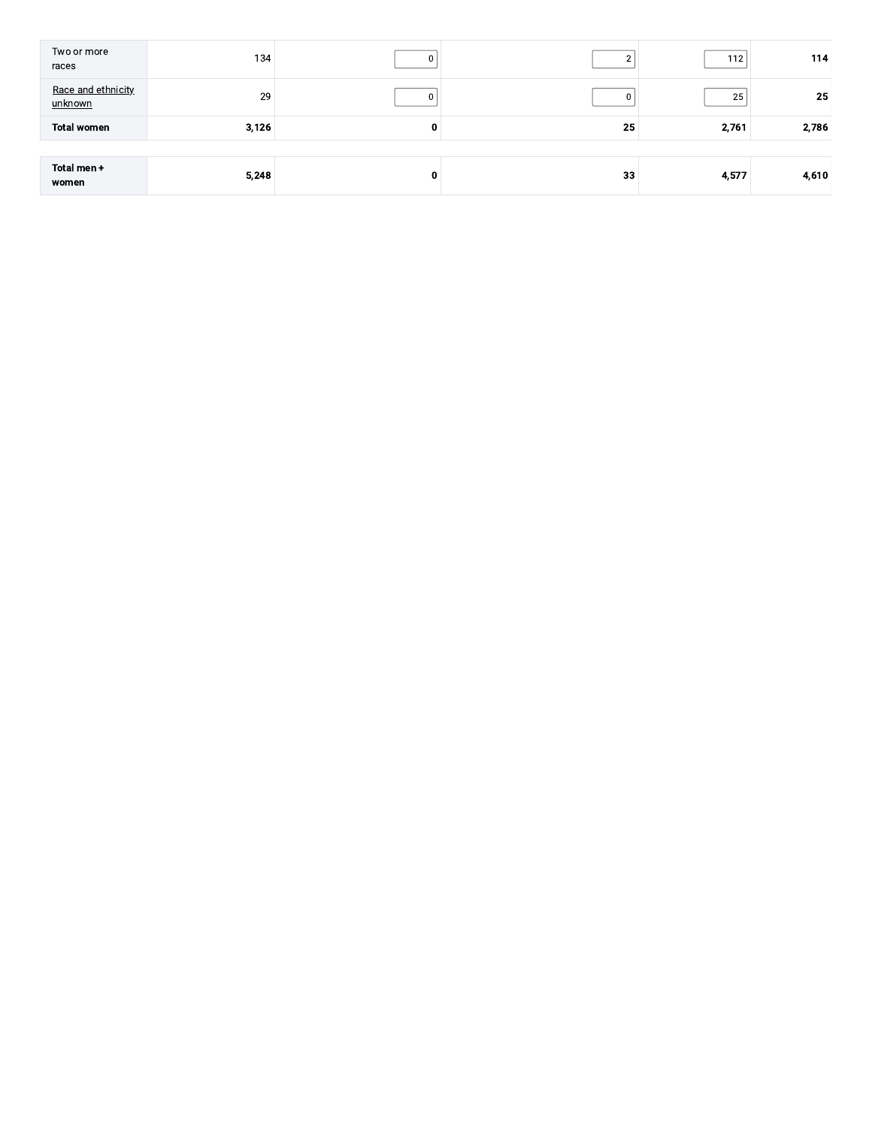| Two or more<br>races          | 134   |   |    | 112   | 114   |
|-------------------------------|-------|---|----|-------|-------|
| Race and ethnicity<br>unknown | 29    |   | 0  | 25    | 25    |
| <b>Total women</b>            | 3,126 | 0 | 25 | 2,761 | 2,786 |
|                               |       |   |    |       |       |
| Total men +<br>women          | 5,248 | 0 | 33 | 4,577 | 4,610 |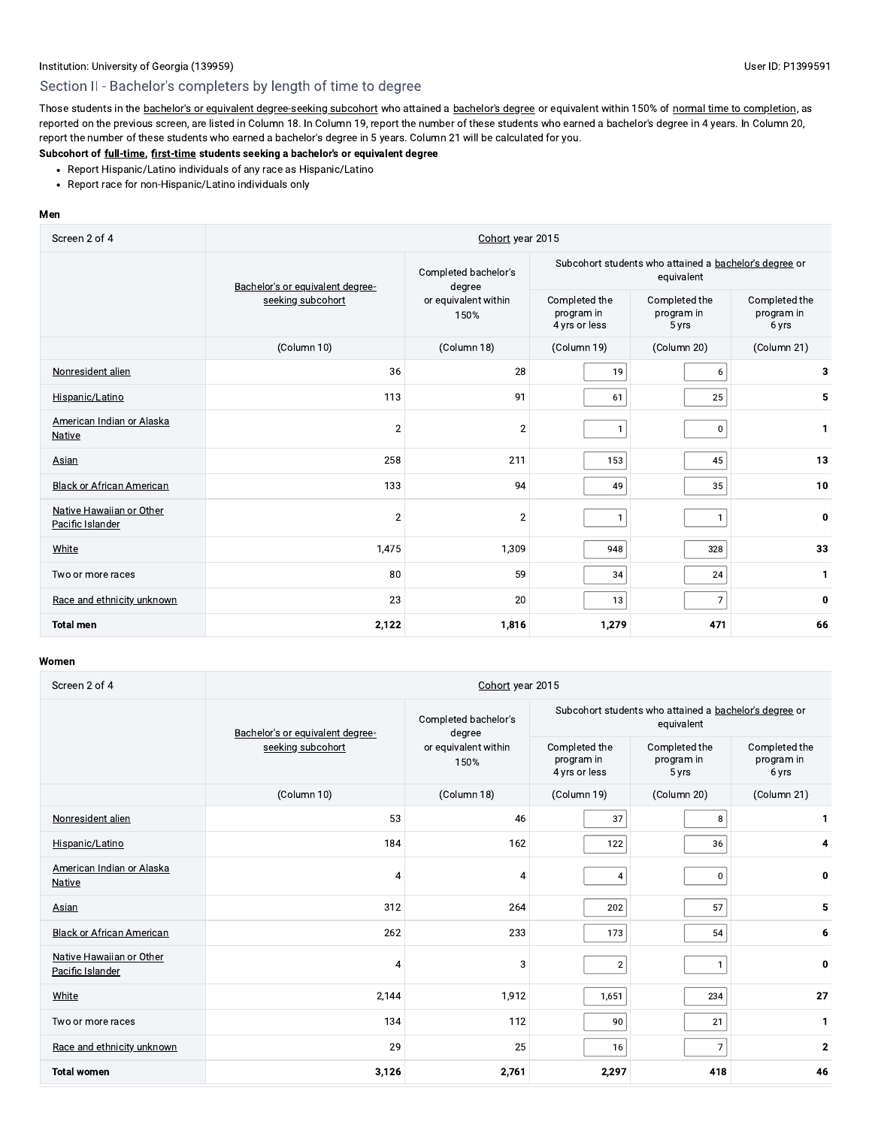# Section II - Bachelor's completers by length of time to degree

Those students in the bachelor's or equivalent degree-seeking subcohort who attained a bachelor's degree or equivalent within 150% of normal time to completion, as reported on the previous screen, are listed in Column 18. In Column 19, report the number of these students who earned a bachelor's degree in 4 years. In Column 20, report the number of these students who earned a bachelor's degree in 5 years. Column 21 will be calculated for you.

# Subcohort of full-time, first-time students seeking a bachelor's or equivalent degree

- Report Hispanic/Latino individuals of any race as Hispanic/Latino
- Report race for non-Hispanic/Latino individuals only

#### Men

| Screen 2 of 4                                | Cohort year 2015                 |                                |                                              |                                                                      |                                      |  |
|----------------------------------------------|----------------------------------|--------------------------------|----------------------------------------------|----------------------------------------------------------------------|--------------------------------------|--|
|                                              | Bachelor's or equivalent degree- | Completed bachelor's<br>degree |                                              | Subcohort students who attained a bachelor's degree or<br>equivalent |                                      |  |
|                                              | seeking subcohort                | or equivalent within<br>150%   | Completed the<br>program in<br>4 yrs or less | Completed the<br>program in<br>5 yrs                                 | Completed the<br>program in<br>6 yrs |  |
|                                              | (Column 10)                      | (Column 18)                    | (Column 19)                                  | (Column 20)                                                          | (Column 21)                          |  |
| Nonresident alien                            | 36                               | 28                             | 19                                           | 6                                                                    | 3                                    |  |
| Hispanic/Latino                              | 113                              | 91                             | 61                                           | 25                                                                   | 5                                    |  |
| American Indian or Alaska<br>Native          | $\overline{2}$                   | $\overline{2}$                 | $\overline{1}$                               | 0                                                                    | 1                                    |  |
| <b>Asian</b>                                 | 258                              | 211                            | 153                                          | 45                                                                   | 13                                   |  |
| <b>Black or African American</b>             | 133                              | 94                             | 49                                           | 35                                                                   | 10                                   |  |
| Native Hawaiian or Other<br>Pacific Islander | $\overline{2}$                   | $\overline{2}$                 | $\overline{1}$                               | $\mathbf{1}$                                                         | 0                                    |  |
| White                                        | 1,475                            | 1,309                          | 948                                          | 328                                                                  | 33                                   |  |
| Two or more races                            | 80                               | 59                             | 34                                           | 24                                                                   | $\mathbf{1}$                         |  |
| Race and ethnicity unknown                   | 23                               | 20                             | 13                                           | $\overline{7}$                                                       | 0                                    |  |
| <b>Total men</b>                             | 2,122                            | 1,816                          | 1,279                                        | 471                                                                  | 66                                   |  |

| Screen 2 of 4                                | Cohort year 2015                 |                                |                                              |                                                                      |                                      |  |
|----------------------------------------------|----------------------------------|--------------------------------|----------------------------------------------|----------------------------------------------------------------------|--------------------------------------|--|
|                                              | Bachelor's or equivalent degree- | Completed bachelor's<br>degree |                                              | Subcohort students who attained a bachelor's degree or<br>equivalent |                                      |  |
|                                              | seeking subcohort                | or equivalent within<br>150%   | Completed the<br>program in<br>4 yrs or less | Completed the<br>program in<br>5 yrs                                 | Completed the<br>program in<br>6 yrs |  |
|                                              | (Column 10)                      | (Column 18)                    | (Column 19)                                  | (Column 20)                                                          | (Column 21)                          |  |
| Nonresident alien                            | 53                               | 46                             | 37                                           | 8                                                                    | 1                                    |  |
| Hispanic/Latino                              | 184                              | 162                            | 122                                          | 36                                                                   | 4                                    |  |
| American Indian or Alaska<br>Native          | 4                                | 4                              | $\overline{4}$                               | $\mathbf 0$                                                          | 0                                    |  |
| Asian                                        | 312                              | 264                            | 202                                          | 57                                                                   | 5                                    |  |
| <b>Black or African American</b>             | 262                              | 233                            | 173                                          | 54                                                                   | 6                                    |  |
| Native Hawaiian or Other<br>Pacific Islander | 4                                | 3                              | $\overline{2}$                               | $\mathbf{1}$                                                         | 0                                    |  |
| White                                        | 2,144                            | 1,912                          | 1,651                                        | 234                                                                  | 27                                   |  |
| Two or more races                            | 134                              | 112                            | 90                                           | 21                                                                   | 1                                    |  |
| Race and ethnicity unknown                   | 29                               | 25                             | 16                                           | $\overline{7}$                                                       | $\mathbf{2}$                         |  |
| <b>Total women</b>                           | 3,126                            | 2,761                          | 2,297                                        | 418                                                                  | 46                                   |  |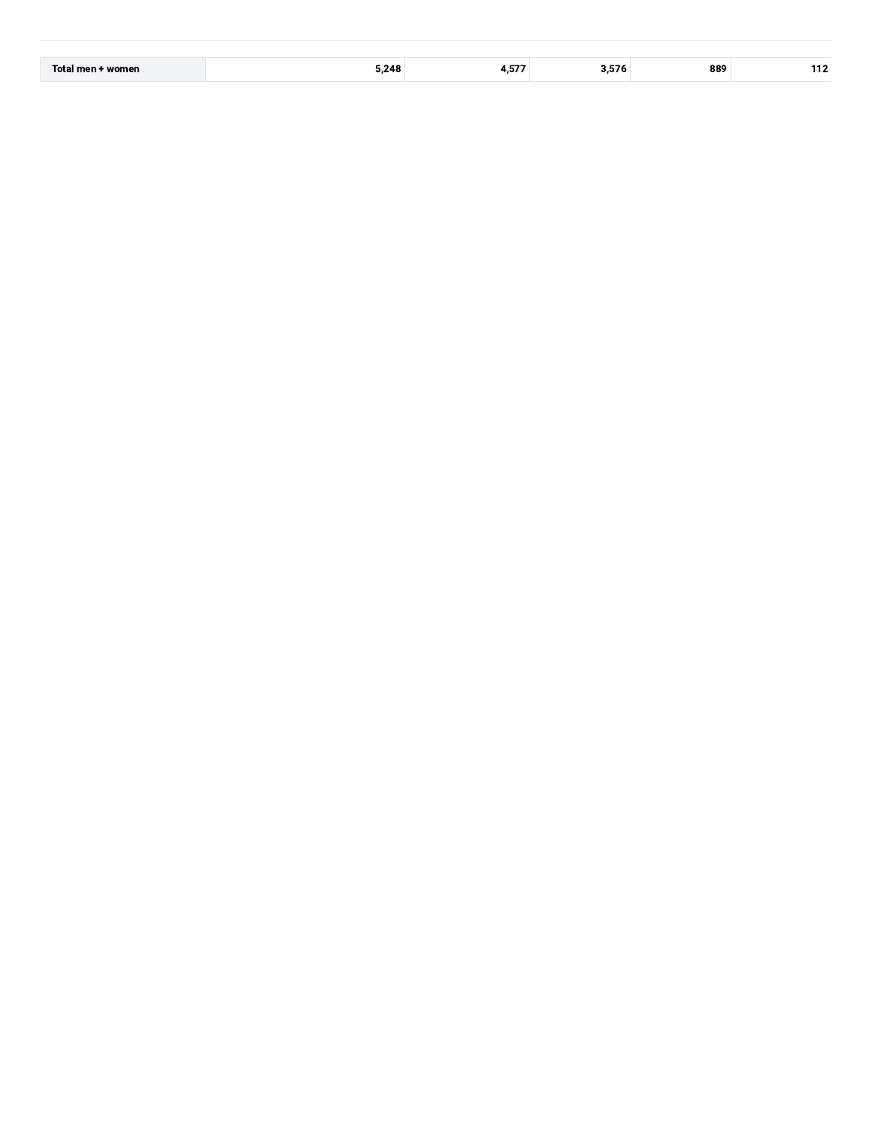|  | Tota.<br>womer. | 248 |  |  | 889 |  |
|--|-----------------|-----|--|--|-----|--|
|--|-----------------|-----|--|--|-----|--|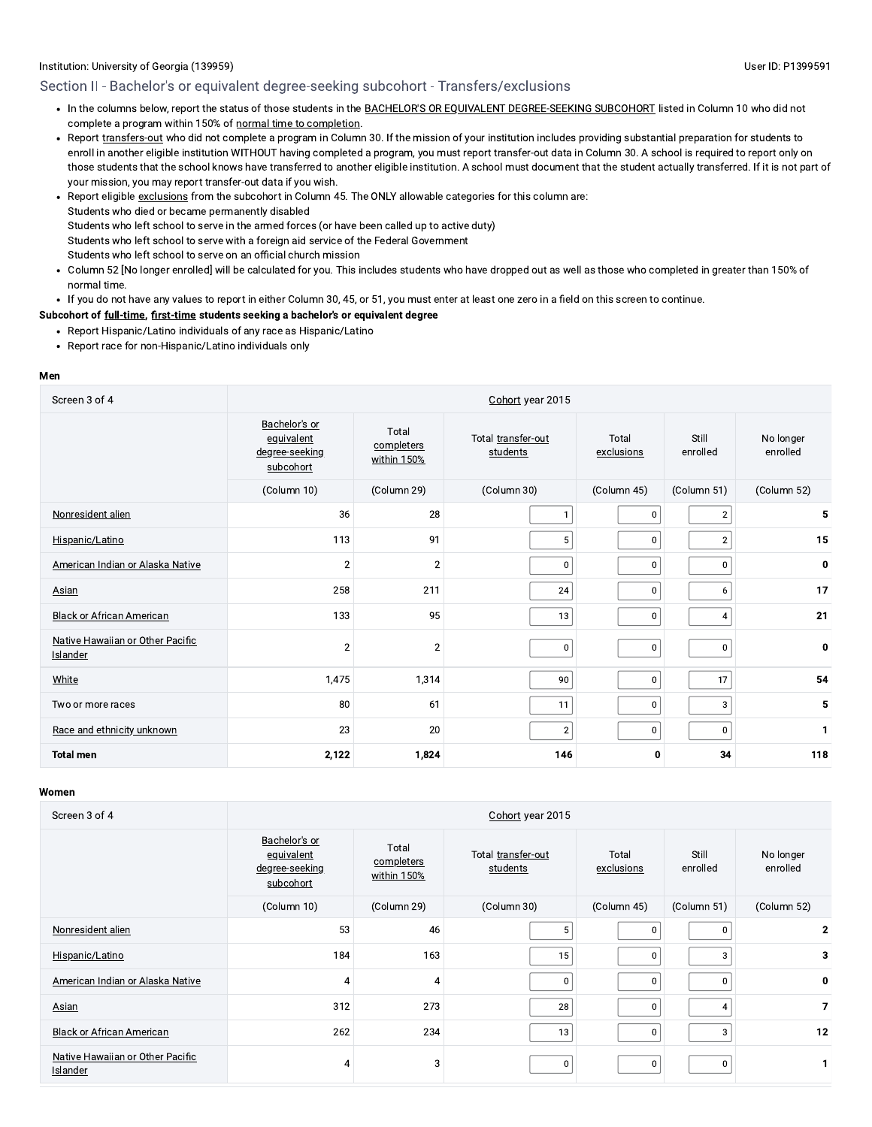## Section II - Bachelor's or equivalent degree-seeking subcohort - Transfers/exclusions

- In the columns below, report the status of those students in the BACHELOR'S OR EQUIVALENT DEGREE-SEEKING SUBCOHORT listed in Column 10 who did not complete a program within 150% of normal time to completion.
- Report transfers-out who did not complete a program in Column 30. If the mission of your institution includes providing substantial preparation for students to enroll in another eligible institution WITHOUT having completed a program, you must report transfer-out data in Column 30. A school is required to report only on those students that the school knows have transferred to another eligible institution. A school must document that the student actually transferred. If it is not part of your mission, you may report transfer-out data if you wish.
- Report eligible exclusions from the subcohort in Column 45. The ONLY allowable categories for this column are: Students who died or became permanently disabled Students who left school to serve in the armed forces (or have been called up to active duty) Students who left school to serve with a foreign aid service of the Federal Government Students who left school to serve on an official church mission
- Column 52 [No longer enrolled] will be calculated for you. This includes students who have dropped out as well as those who completed in greater than 150% of normal time.
- If you do not have any values to report in either Column 30, 45, or 51, you must enter at least one zero in a field on this screen to continue.

#### Subcohort of full-time, first-time students seeking a bachelor's or equivalent degree

- Report Hispanic/Latino individuals of any race as Hispanic/Latino
- Report race for non-Hispanic/Latino individuals only

#### Men

| Screen 3 of 4                                | Cohort year 2015                                                                                                                                          |                |                   |                       |                |              |  |  |  |
|----------------------------------------------|-----------------------------------------------------------------------------------------------------------------------------------------------------------|----------------|-------------------|-----------------------|----------------|--------------|--|--|--|
|                                              | Bachelor's or<br>Total<br>Total transfer-out<br>Total<br>equivalent<br>completers<br>students<br>degree-seeking<br>exclusions<br>within 150%<br>subcohort |                | Still<br>enrolled | No longer<br>enrolled |                |              |  |  |  |
|                                              | (Column 10)                                                                                                                                               | (Column 29)    | (Column 30)       | (Column 45)           | (Column 51)    | (Column 52)  |  |  |  |
| Nonresident alien                            | 36                                                                                                                                                        | 28             |                   | 0                     | $\overline{2}$ | 5            |  |  |  |
| Hispanic/Latino                              | 113                                                                                                                                                       | 91             | 5 <sup>1</sup>    | 0                     | $\overline{2}$ | 15           |  |  |  |
| American Indian or Alaska Native             | $\overline{c}$                                                                                                                                            | $\overline{2}$ | $\mathbf 0$       | $\mathbf 0$           | $\mathbf 0$    | 0            |  |  |  |
| <b>Asian</b>                                 | 258                                                                                                                                                       | 211            | 24                | 0                     | 6              | 17           |  |  |  |
| <b>Black or African American</b>             | 133                                                                                                                                                       | 95             | 13                | 0                     | $\overline{4}$ | 21           |  |  |  |
| Native Hawaiian or Other Pacific<br>Islander | $\overline{2}$                                                                                                                                            | $\overline{2}$ | $\mathbf{0}$      | $\mathbf 0$           | $\mathbf 0$    | 0            |  |  |  |
| White                                        | 1,475                                                                                                                                                     | 1,314          | 90                | $\mathbf 0$           | 17             | 54           |  |  |  |
| Two or more races                            | 80                                                                                                                                                        | 61             | 11                | 0                     | 3              | 5            |  |  |  |
| Race and ethnicity unknown                   | 23                                                                                                                                                        | 20             | $\overline{2}$    | 0                     | $\mathbf 0$    | $\mathbf{1}$ |  |  |  |
| <b>Total men</b>                             | 2,122                                                                                                                                                     | 1,824          | 146               | 0                     | 34             | 118          |  |  |  |

| Screen 3 of 4                                | Cohort year 2015                                           |                                    |                                |                     |                   |                       |  |  |
|----------------------------------------------|------------------------------------------------------------|------------------------------------|--------------------------------|---------------------|-------------------|-----------------------|--|--|
|                                              | Bachelor's or<br>equivalent<br>degree-seeking<br>subcohort | Total<br>completers<br>within 150% | Total transfer-out<br>students | Total<br>exclusions | Still<br>enrolled | No longer<br>enrolled |  |  |
|                                              | (Column 10)                                                | (Column 29)                        | (Column 30)                    | (Column 45)         | (Column 51)       | (Column 52)           |  |  |
| Nonresident alien                            | 53                                                         | 46                                 | 5                              | 0                   | 0                 | $\mathbf{2}$          |  |  |
| Hispanic/Latino                              | 184                                                        | 163                                | 15                             | 0                   | 3                 | 3                     |  |  |
| American Indian or Alaska Native             | 4                                                          | 4                                  | $\Omega$                       | 0                   | <sub>0</sub>      | 0                     |  |  |
| Asian                                        | 312                                                        | 273                                | 28                             | 0                   | 4                 | $\overline{7}$        |  |  |
| <b>Black or African American</b>             | 262                                                        | 234                                | 13                             | 0                   | 3                 | 12                    |  |  |
| Native Hawaiian or Other Pacific<br>Islander | 4                                                          | 3                                  | 0                              | 0                   | $\Omega$          |                       |  |  |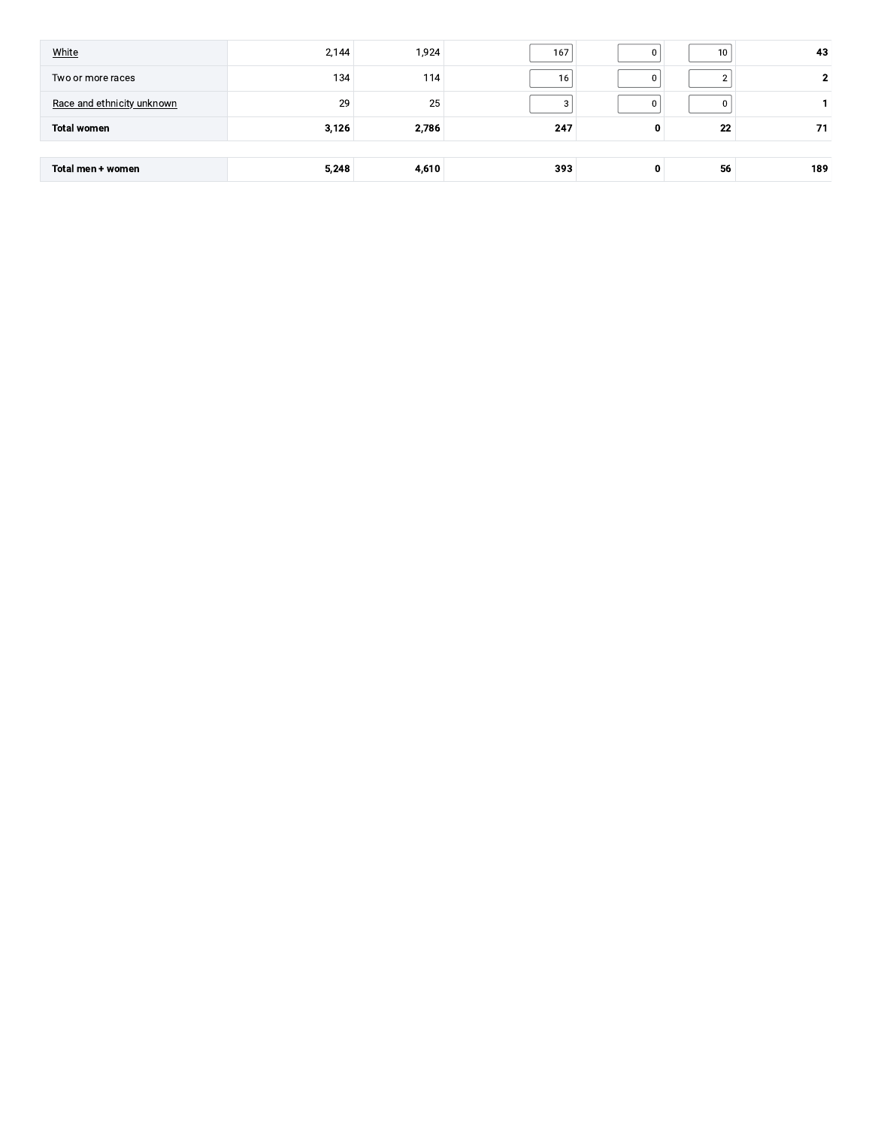| Total men + women          | 5,248 | 4,610            | 393 | 0 | 56              | 189 |
|----------------------------|-------|------------------|-----|---|-----------------|-----|
|                            |       |                  |     |   |                 |     |
| <b>Total women</b>         | 3,126 | 2,786            | 247 | 0 | 22              | 71  |
| Race and ethnicity unknown | 29    | 25               |     | 0 |                 |     |
|                            |       |                  |     |   |                 |     |
| Two or more races          | 134   | 114 <sub>1</sub> | 16  | 0 |                 |     |
| White                      | 2,144 | 1,924            | 167 | 0 | 10 <sub>1</sub> | 43  |
|                            |       |                  |     |   |                 |     |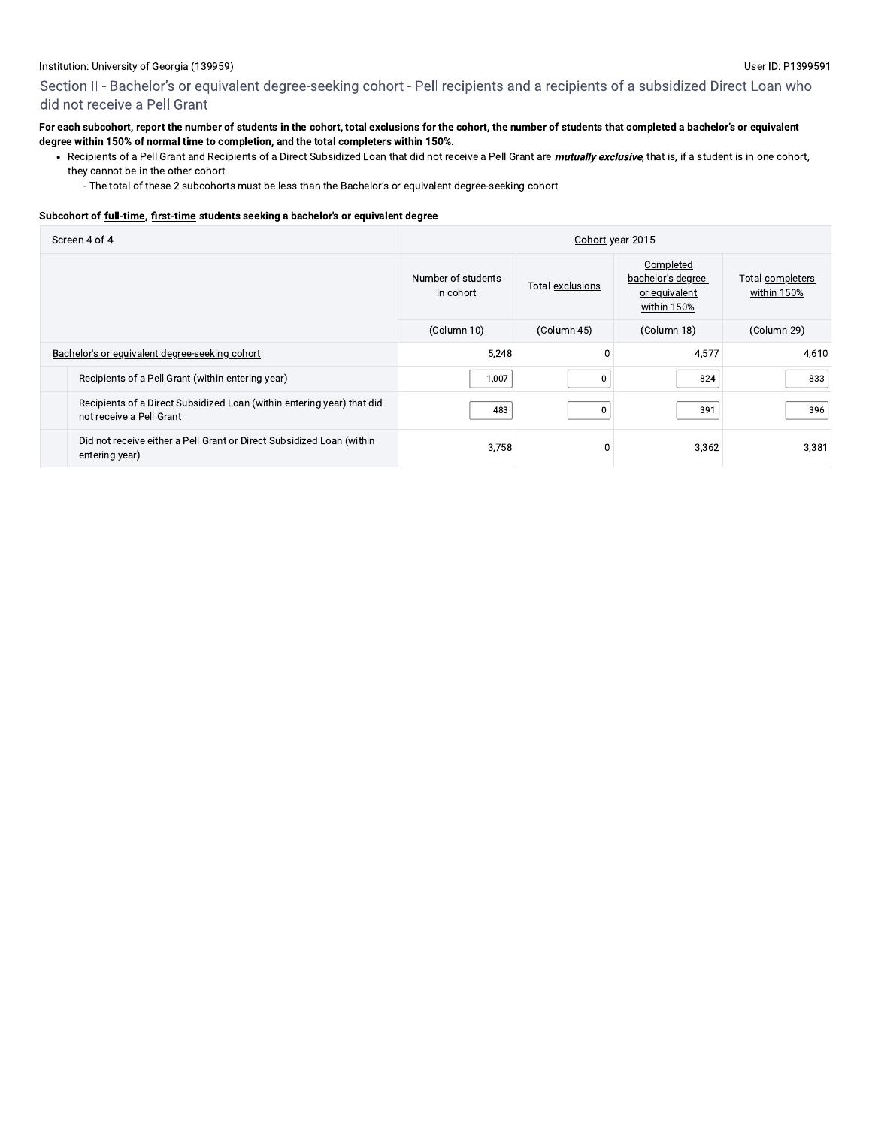Section II - Bachelor's or equivalent degree-seeking cohort - Pell recipients and a recipients of a subsidized Direct Loan who did not receive a Pell Grant

#### For each subcohort, report the number of students in the cohort, total exclusions for the cohort, the number of students that completed a bachelor's or equivalent degree within 150% of normal time to completion, and the total completers within 150%.

- Recipients of a Pell Grant and Recipients of a Direct Subsidized Loan that did not receive a Pell Grant are *mutually exclusive*, that is, if a student is in one cohort, they cannot be in the other cohort.
	- The total of these 2 subcohorts must be less than the Bachelor's or equivalent degree-seeking cohort

#### Subcohort of full-time, first-time students seeking a bachelor's or equivalent degree

| Screen 4 of 4 |                                                                                                    | Cohort year 2015                |                  |                                                                |                                 |  |  |
|---------------|----------------------------------------------------------------------------------------------------|---------------------------------|------------------|----------------------------------------------------------------|---------------------------------|--|--|
|               |                                                                                                    | Number of students<br>in cohort | Total exclusions | Completed<br>bachelor's degree<br>or equivalent<br>within 150% | Total completers<br>within 150% |  |  |
|               |                                                                                                    | (Column 10)                     | (Column 45)      | (Column 18)                                                    | (Column 29)                     |  |  |
|               | Bachelor's or equivalent degree-seeking cohort                                                     | 5,248                           |                  | 4,577                                                          | 4,610                           |  |  |
|               | Recipients of a Pell Grant (within entering year)                                                  | 1,007                           | $\Omega$         | 824                                                            | 833                             |  |  |
|               | Recipients of a Direct Subsidized Loan (within entering year) that did<br>not receive a Pell Grant | 483                             | $\Omega$         | 391                                                            | 396                             |  |  |
|               | Did not receive either a Pell Grant or Direct Subsidized Loan (within<br>entering year)            | 3,758                           |                  | 3,362                                                          | 3,381                           |  |  |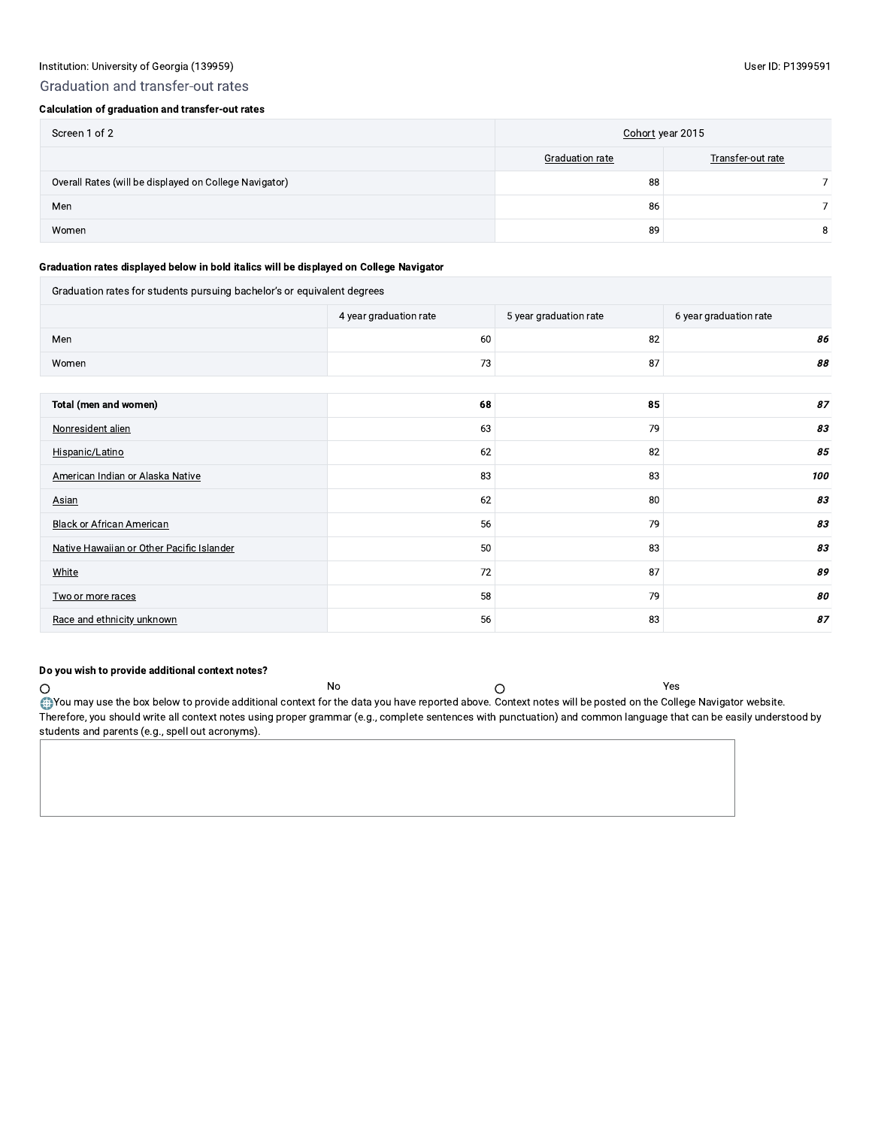## Graduation and transfer-out rates

## Calculation of graduation and transfer-out rates

| Screen 1 of 2                                          | Cohort year 2015       |                   |  |
|--------------------------------------------------------|------------------------|-------------------|--|
|                                                        | <b>Graduation rate</b> | Transfer-out rate |  |
| Overall Rates (will be displayed on College Navigator) | 88                     |                   |  |
| Men                                                    | 86                     |                   |  |
| Women                                                  | 89                     | 8                 |  |

#### Graduation rates displayed below in bold italics will be displayed on College Navigator

| Graduation rates for students pursuing bachelor's or equivalent degrees |                        |                        |                        |  |  |  |  |
|-------------------------------------------------------------------------|------------------------|------------------------|------------------------|--|--|--|--|
|                                                                         | 4 year graduation rate | 5 year graduation rate | 6 year graduation rate |  |  |  |  |
| Men                                                                     | 60                     | 82                     | 86                     |  |  |  |  |
| Women                                                                   | 73                     | 87                     | 88                     |  |  |  |  |
|                                                                         |                        |                        |                        |  |  |  |  |
| Total (men and women)                                                   | 68                     | 85                     | 87                     |  |  |  |  |
| Nonresident alien                                                       | 63                     | 79                     | 83                     |  |  |  |  |
| Hispanic/Latino                                                         | 62                     | 82                     | 85                     |  |  |  |  |
| American Indian or Alaska Native                                        | 83                     | 83                     | 100                    |  |  |  |  |
| Asian                                                                   | 62                     | 80                     | 83                     |  |  |  |  |
| <b>Black or African American</b>                                        | 56                     | 79                     | 83                     |  |  |  |  |
| Native Hawaiian or Other Pacific Islander                               | 50                     | 83                     | 83                     |  |  |  |  |
| White                                                                   | 72                     | 87                     | 89                     |  |  |  |  |
| Two or more races                                                       | 58                     | 79                     | 80                     |  |  |  |  |
| Race and ethnicity unknown                                              | 56                     | 83                     | 87                     |  |  |  |  |

## Do you wish to provide additional context notes?

No Chapter the box below to provide additional context for the data you have reported above. Context notes will be posted on the College Navigator website.<br>Therefore, you should write all context notes using proper grammar students and parents (e.g., spell out acronyms).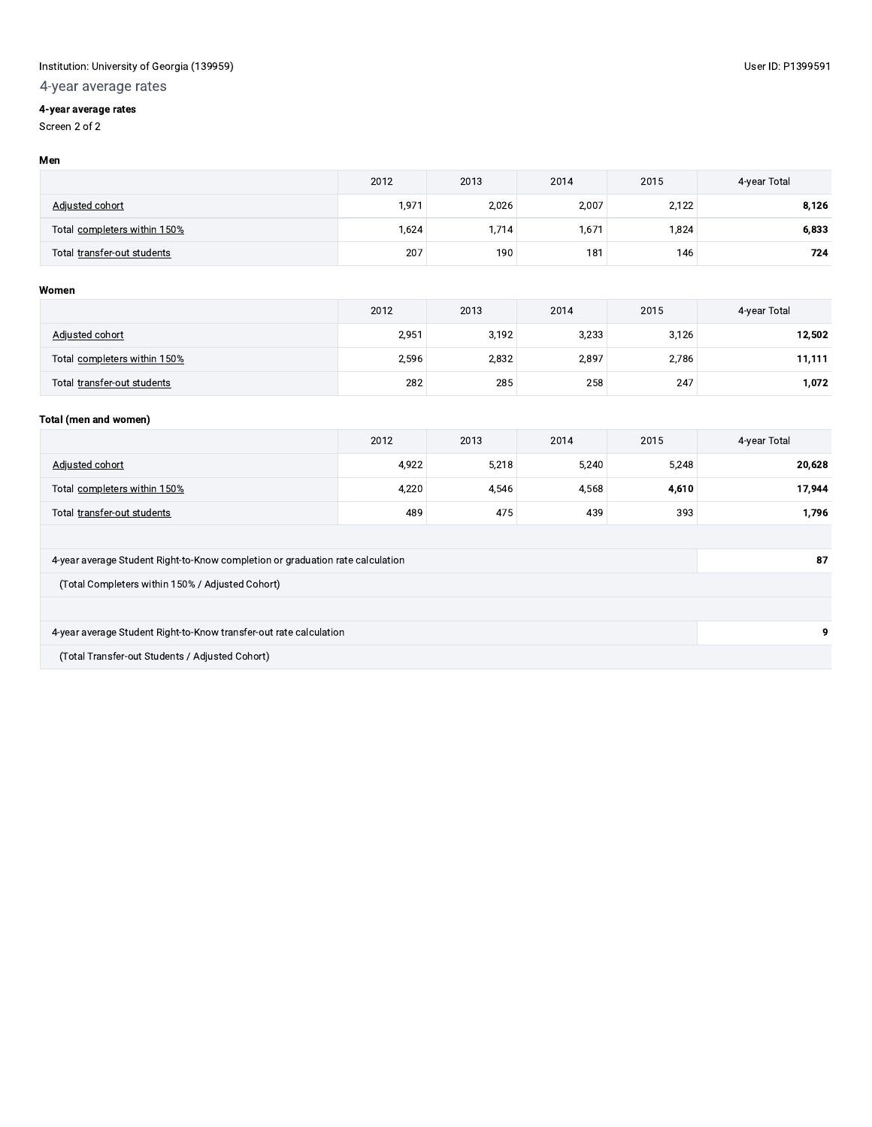# 4-year average rates

# 4-year average rates

Screen 2 of 2

#### Men

|                              | 2012  | 2013  | 2014  | 2015  | 4-year Total |
|------------------------------|-------|-------|-------|-------|--------------|
| Adjusted cohort              | 1,971 | 2,026 | 2,007 | 2,122 | 8.126        |
| Total completers within 150% | 1,624 | .714  | 1,671 | 1,824 | 6.833        |
| Total transfer-out students  | 207   | 190   | 181   | 146   | 724          |

## Women

|                              | 2012  | 2013  | 2014  | 2015  | 4-year Total |
|------------------------------|-------|-------|-------|-------|--------------|
| Adjusted cohort              | 2,951 | 3,192 | 3,233 | 3,126 | 12.502       |
| Total completers within 150% | 2,596 | 2.832 | 2,897 | 2,786 | 11,111       |
| Total transfer-out students  | 282   | 285   | 258   | 247   | 1.072        |

## Total (men and women)

|                                                                                | 2012  | 2013  | 2014  | 2015  | 4-year Total |  |  |
|--------------------------------------------------------------------------------|-------|-------|-------|-------|--------------|--|--|
| Adjusted cohort                                                                | 4,922 | 5,218 | 5,240 | 5,248 | 20,628       |  |  |
| Total completers within 150%                                                   | 4,220 | 4,546 | 4,568 | 4,610 | 17,944       |  |  |
| Total transfer-out students                                                    | 489   | 475   | 439   | 393   | 1,796        |  |  |
|                                                                                |       |       |       |       |              |  |  |
| 4-year average Student Right-to-Know completion or graduation rate calculation |       |       |       |       |              |  |  |
| (Total Completers within 150% / Adjusted Cohort)                               |       |       |       |       |              |  |  |
|                                                                                |       |       |       |       |              |  |  |
| 4-year average Student Right-to-Know transfer-out rate calculation             |       |       |       |       | 9            |  |  |
| (Total Transfer-out Students / Adjusted Cohort)                                |       |       |       |       |              |  |  |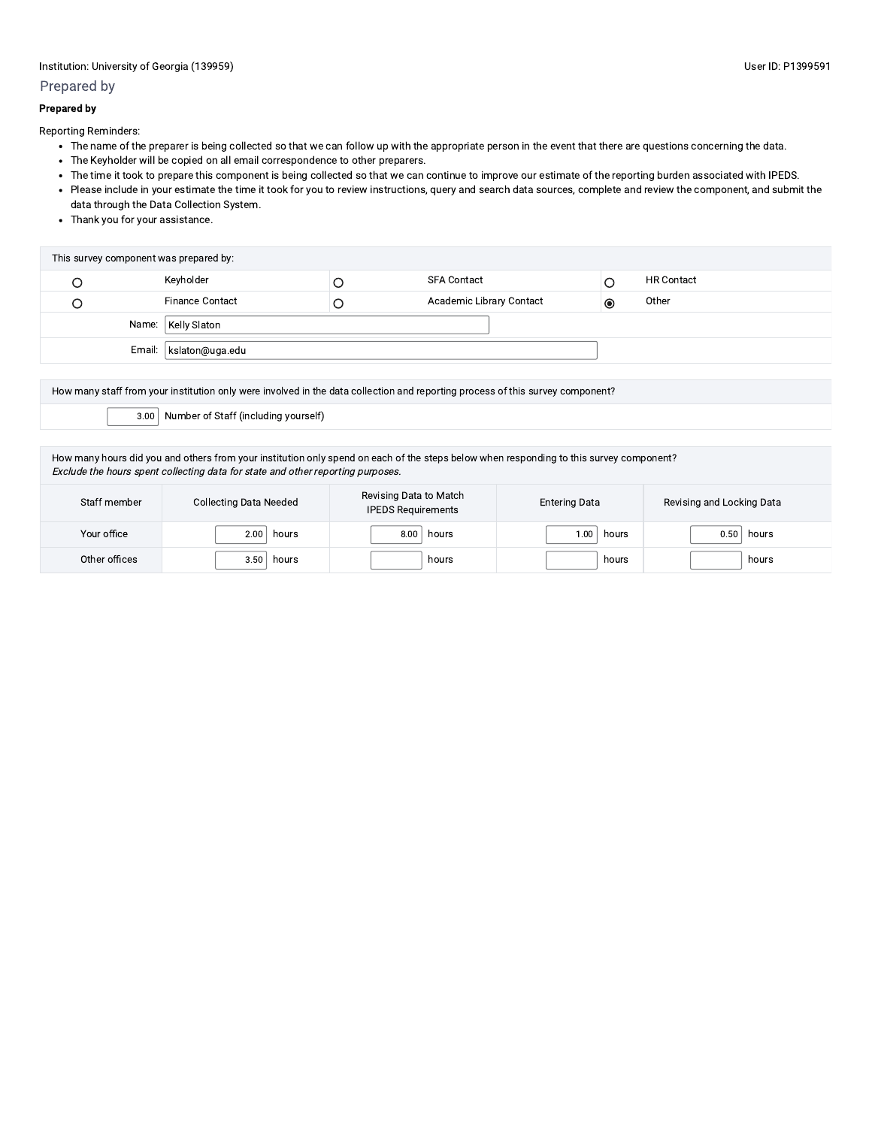# Prepared by

## **Prepared by**

Reporting Reminders:

- The name of the preparer is being collected so that we can follow up with the appropriate person in the event that there are questions concerning the data.
- The Keyholder will be copied on all email correspondence to other preparers.
- . The time it took to prepare this component is being collected so that we can continue to improve our estimate of the reporting burden associated with IPEDS.
- Please include in your estimate the time it took for you to review instructions, query and search data sources, complete and review the component, and submit the data through the Data Collection System.
- Thank you for your assistance.

| This survey component was prepared by: |                          |  |                                 |           |                   |  |  |
|----------------------------------------|--------------------------|--|---------------------------------|-----------|-------------------|--|--|
|                                        | Keyholder                |  | <b>SFA Contact</b>              |           | <b>HR Contact</b> |  |  |
|                                        | <b>Finance Contact</b>   |  | <b>Academic Library Contact</b> | $\bullet$ | Other             |  |  |
| Name:   Kelly Slaton                   |                          |  |                                 |           |                   |  |  |
|                                        | Email:   kslaton@uga.edu |  |                                 |           |                   |  |  |

| How many staff from your institution only were involved in the data collection and reporting process of this survey component? |  |  |  |  |
|--------------------------------------------------------------------------------------------------------------------------------|--|--|--|--|
| $3.00$ Number of Staff (including yourself)                                                                                    |  |  |  |  |
|                                                                                                                                |  |  |  |  |

How many hours did you and others from your institution only spend on each of the steps below when responding to this survey component? Exclude the hours spent collecting data for state and other reporting purposes.

| Staff member  | <b>Collecting Data Needed</b> | Revising Data to Match<br><b>IPEDS Requirements</b> | <b>Entering Data</b> | Revising and Locking Data |
|---------------|-------------------------------|-----------------------------------------------------|----------------------|---------------------------|
| Your office   | 2.00<br>hours                 | 8.00<br>hours                                       | hours<br>00، ١       | 0.50<br>hours             |
| Other offices | 3.50<br>hours                 | hours                                               | hours                | hours                     |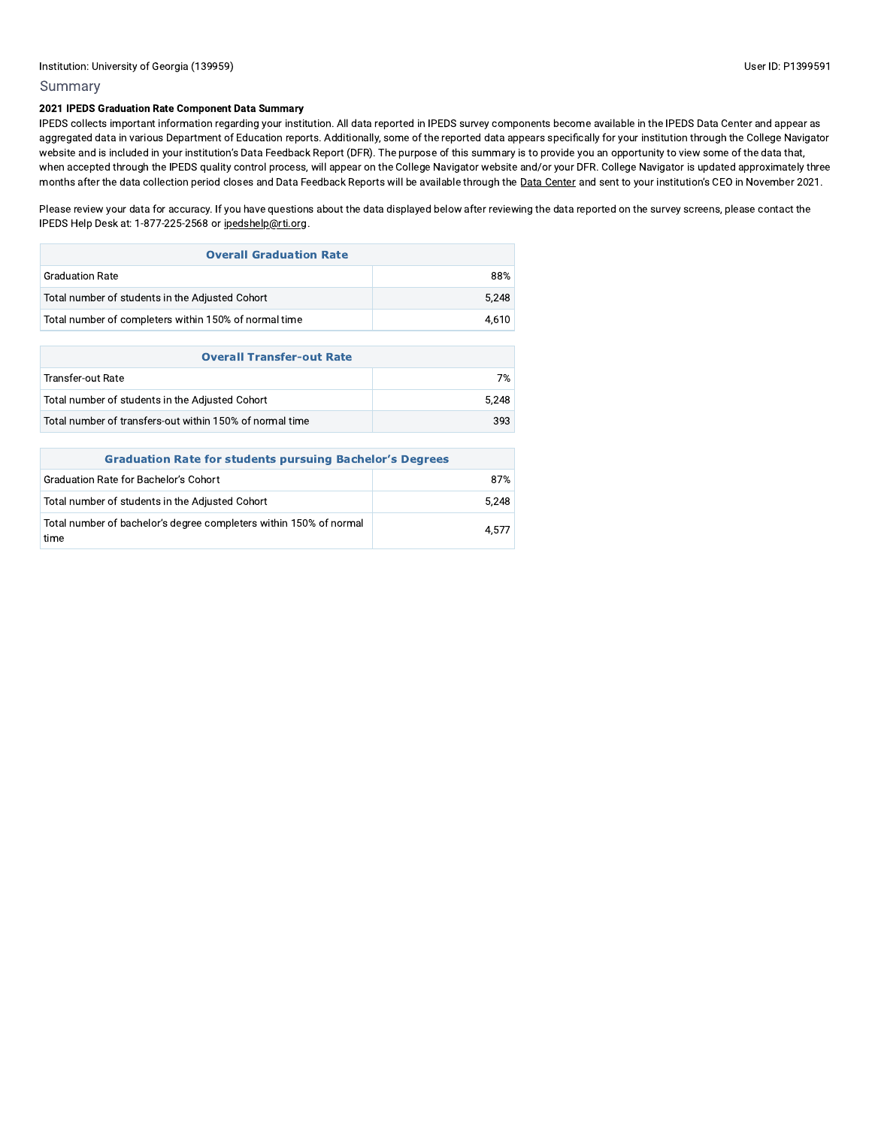# Summary

## 2021 IPEDS Graduation Rate Component Data Summary

IPEDS collects important information regarding your institution. All data reported in IPEDS survey components become available in the IPEDS Data Center and appear as aggregated data in various Department of Education reports. Additionally, some of the reported data appears specifically for your institution through the College Navigator website and is included in your institution's Data Feedback Report (DFR). The purpose of this summary is to provide you an opportunity to view some of the data that, when accepted through the IPEDS quality control process, will appear on the College Navigator website and/or your DFR. College Navigator is updated approximately three months after the data collection period closes and Data Feedback Reports will be available through the Data Center and sent to your institution's CEO in November 2021.

Please review your data for accuracy. If you have questions about the data displayed below after reviewing the data reported on the survey screens, please contact the IPEDS Help Desk at: 1-877-225-2568 or ipedshelp@rti.org.

| <b>Overall Graduation Rate</b>                        |       |  |  |  |
|-------------------------------------------------------|-------|--|--|--|
| <b>Graduation Rate</b>                                | 88%   |  |  |  |
| Total number of students in the Adjusted Cohort       | 5.248 |  |  |  |
| Total number of completers within 150% of normal time | 4.610 |  |  |  |

| <b>Overall Transfer-out Rate</b>                         |       |  |  |
|----------------------------------------------------------|-------|--|--|
| Transfer-out Rate                                        | 7%    |  |  |
| Total number of students in the Adjusted Cohort          | 5.248 |  |  |
| Total number of transfers-out within 150% of normal time | 393   |  |  |

| <b>Graduation Rate for students pursuing Bachelor's Degrees</b>            |       |  |  |  |
|----------------------------------------------------------------------------|-------|--|--|--|
| Graduation Rate for Bachelor's Cohort                                      | 87%   |  |  |  |
| Total number of students in the Adjusted Cohort                            | 5.248 |  |  |  |
| Total number of bachelor's degree completers within 150% of normal<br>time | 4.577 |  |  |  |